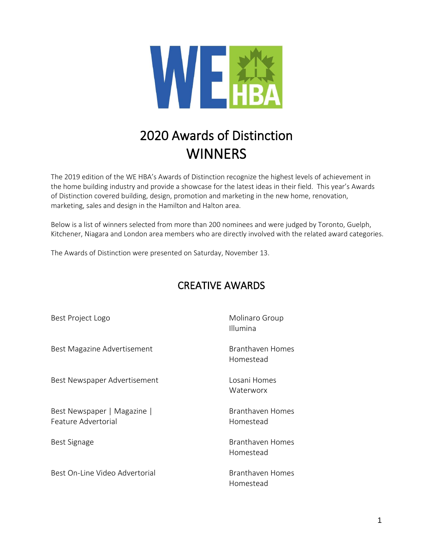

# 2020 Awards of Distinction **WINNERS**

The 2019 edition of the WE HBA's Awards of Distinction recognize the highest levels of achievement in the home building industry and provide a showcase for the latest ideas in their field. This year's Awards of Distinction covered building, design, promotion and marketing in the new home, renovation, marketing, sales and design in the Hamilton and Halton area.

Below is a list of winners selected from more than 200 nominees and were judged by Toronto, Guelph, Kitchener, Niagara and London area members who are directly involved with the related award categories.

The Awards of Distinction were presented on Saturday, November 13.

#### CREATIVE AWARDS

| Best Project Logo                                  | Molinaro Group<br>Illumina    |
|----------------------------------------------------|-------------------------------|
| Best Magazine Advertisement                        | Branthaven Homes<br>Homestead |
| Best Newspaper Advertisement                       | Losani Homes<br>Waterworx     |
| Best Newspaper   Magazine  <br>Feature Advertorial | Branthaven Homes<br>Homestead |
| Best Signage                                       | Branthaven Homes<br>Homestead |
| Best On-Line Video Advertorial                     | Branthaven Homes<br>Homestead |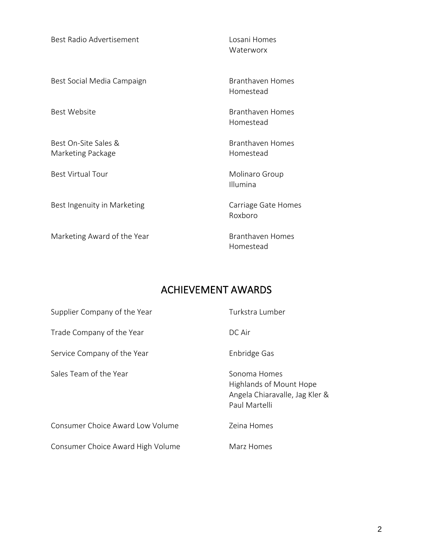Best Radio Advertisement Losani Homes

Best Social Media Campaign Branthaven Homes

Best On-Site Sales & Branthaven Homes Marketing Package **Homestead** Homestead

Best Ingenuity in Marketing Theorem Carriage Gate Homes

Marketing Award of the Year Branthaven Homes

Waterworx

Homestead

Best Website **Branthaven Homes** Homestead

Best Virtual Tour **Molinaro Group** Molinaro Group Illumina

Roxboro

Homestead

#### ACHIEVEMENT AWARDS

| Supplier Company of the Year            | Turkstra Lumber                                                                                   |
|-----------------------------------------|---------------------------------------------------------------------------------------------------|
| Trade Company of the Year               | DC Air                                                                                            |
| Service Company of the Year             | Enbridge Gas                                                                                      |
| Sales Team of the Year                  | Sonoma Homes<br><b>Highlands of Mount Hope</b><br>Angela Chiaravalle, Jag Kler &<br>Paul Martelli |
| <b>Consumer Choice Award Low Volume</b> | Zeina Homes                                                                                       |
| Consumer Choice Award High Volume       | Marz Homes                                                                                        |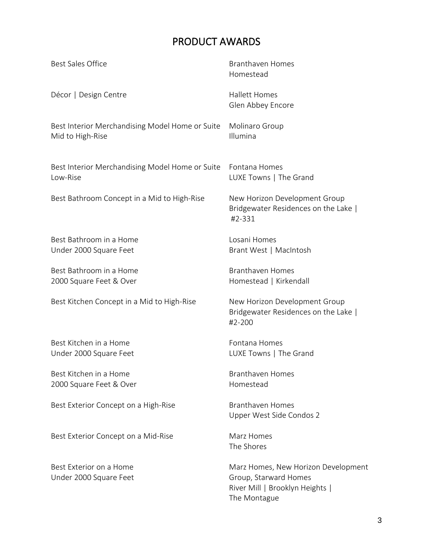## PRODUCT AWARDS

| <b>Best Sales Office</b>                                            | <b>Branthaven Homes</b><br>Homestead                                                                            |
|---------------------------------------------------------------------|-----------------------------------------------------------------------------------------------------------------|
| Décor   Design Centre                                               | <b>Hallett Homes</b><br>Glen Abbey Encore                                                                       |
| Best Interior Merchandising Model Home or Suite<br>Mid to High-Rise | Molinaro Group<br>Illumina                                                                                      |
| Best Interior Merchandising Model Home or Suite<br>Low-Rise         | Fontana Homes<br>LUXE Towns   The Grand                                                                         |
| Best Bathroom Concept in a Mid to High-Rise                         | New Horizon Development Group<br>Bridgewater Residences on the Lake  <br>#2-331                                 |
| Best Bathroom in a Home<br>Under 2000 Square Feet                   | Losani Homes<br>Brant West   MacIntosh                                                                          |
| Best Bathroom in a Home<br>2000 Square Feet & Over                  | <b>Branthaven Homes</b><br>Homestead   Kirkendall                                                               |
| Best Kitchen Concept in a Mid to High-Rise                          | New Horizon Development Group<br>Bridgewater Residences on the Lake  <br>#2-200                                 |
| Best Kitchen in a Home<br>Under 2000 Square Feet                    | Fontana Homes<br>LUXE Towns   The Grand                                                                         |
| Best Kitchen in a Home<br>2000 Square Feet & Over                   | Branthaven Homes<br>Homestead                                                                                   |
| Best Exterior Concept on a High-Rise                                | <b>Branthaven Homes</b><br>Upper West Side Condos 2                                                             |
| Best Exterior Concept on a Mid-Rise                                 | Marz Homes<br>The Shores                                                                                        |
| Best Exterior on a Home<br>Under 2000 Square Feet                   | Marz Homes, New Horizon Development<br>Group, Starward Homes<br>River Mill   Brooklyn Heights  <br>The Montague |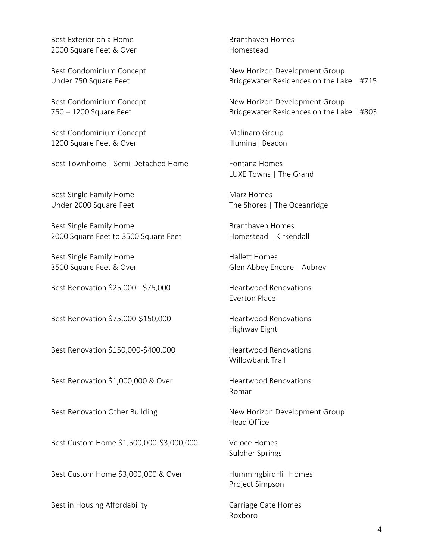Best Exterior on a Home Branthaven Homes 2000 Square Feet & Over Nomestead

Best Condominium Concept Molinaro Group 1200 Square Feet & Over Illumina | Beacon

Best Townhome | Semi-Detached Home Fontana Homes

Best Single Family Home Marz Homes

Best Single Family Home Branthaven Homes 2000 Square Feet to 3500 Square Feet Homestead | Kirkendall

Best Single Family Home **Hallett Homes** 

Best Renovation \$25,000 - \$75,000 Heartwood Renovations

Best Renovation \$75,000-\$150,000 Heartwood Renovations

Best Renovation \$150,000-\$400,000 Heartwood Renovations

Best Renovation \$1,000,000 & Over Heartwood Renovations

Best Custom Home \$1,500,000-\$3,000,000 Veloce Homes

Best Custom Home \$3,000,000 & Over HummingbirdHill Homes

Best in Housing Affordability **Example 20 September 10 August 2018** Carriage Gate Homes

Best Condominium Concept **New Horizon Development Group** Under 750 Square Feet **Bridgewater Residences on the Lake | #715** 

Best Condominium Concept **New Horizon Development Group** 750 – 1200 Square Feet Bridgewater Residences on the Lake | #803

LUXE Towns | The Grand

Under 2000 Square Feet The Shores | The Oceanridge

3500 Square Feet & Over Glen Abbey Encore | Aubrey

Everton Place

Highway Eight

Willowbank Trail

Romar

Best Renovation Other Building New Horizon Development Group Head Office

Sulpher Springs

Project Simpson

Roxboro